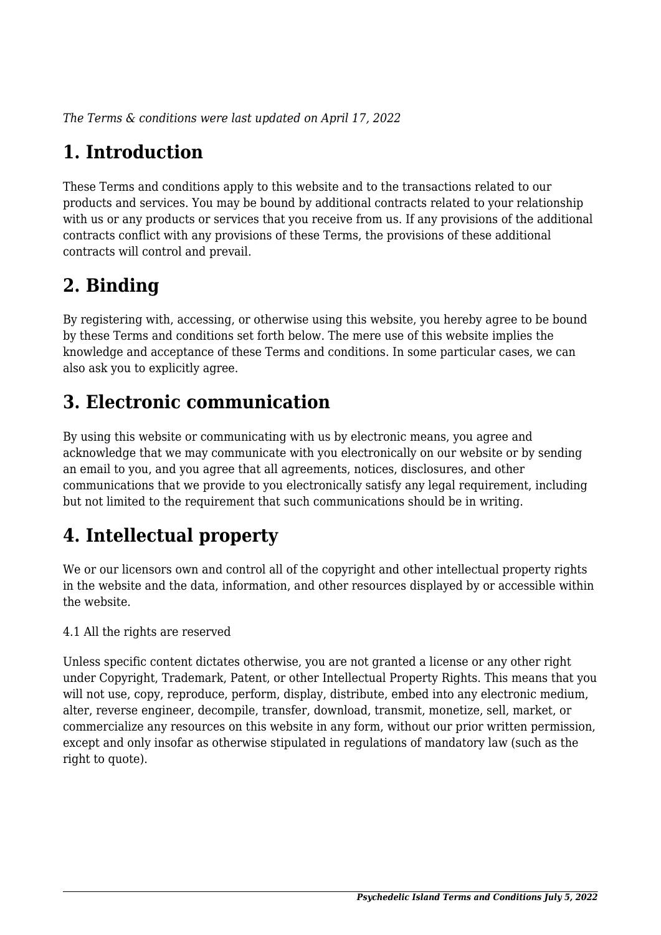*The Terms & conditions were last updated on April 17, 2022*

# **1. Introduction**

These Terms and conditions apply to this website and to the transactions related to our products and services. You may be bound by additional contracts related to your relationship with us or any products or services that you receive from us. If any provisions of the additional contracts conflict with any provisions of these Terms, the provisions of these additional contracts will control and prevail.

## **2. Binding**

By registering with, accessing, or otherwise using this website, you hereby agree to be bound by these Terms and conditions set forth below. The mere use of this website implies the knowledge and acceptance of these Terms and conditions. In some particular cases, we can also ask you to explicitly agree.

## **3. Electronic communication**

By using this website or communicating with us by electronic means, you agree and acknowledge that we may communicate with you electronically on our website or by sending an email to you, and you agree that all agreements, notices, disclosures, and other communications that we provide to you electronically satisfy any legal requirement, including but not limited to the requirement that such communications should be in writing.

# **4. Intellectual property**

We or our licensors own and control all of the copyright and other intellectual property rights in the website and the data, information, and other resources displayed by or accessible within the website.

4.1 All the rights are reserved

Unless specific content dictates otherwise, you are not granted a license or any other right under Copyright, Trademark, Patent, or other Intellectual Property Rights. This means that you will not use, copy, reproduce, perform, display, distribute, embed into any electronic medium, alter, reverse engineer, decompile, transfer, download, transmit, monetize, sell, market, or commercialize any resources on this website in any form, without our prior written permission, except and only insofar as otherwise stipulated in regulations of mandatory law (such as the right to quote).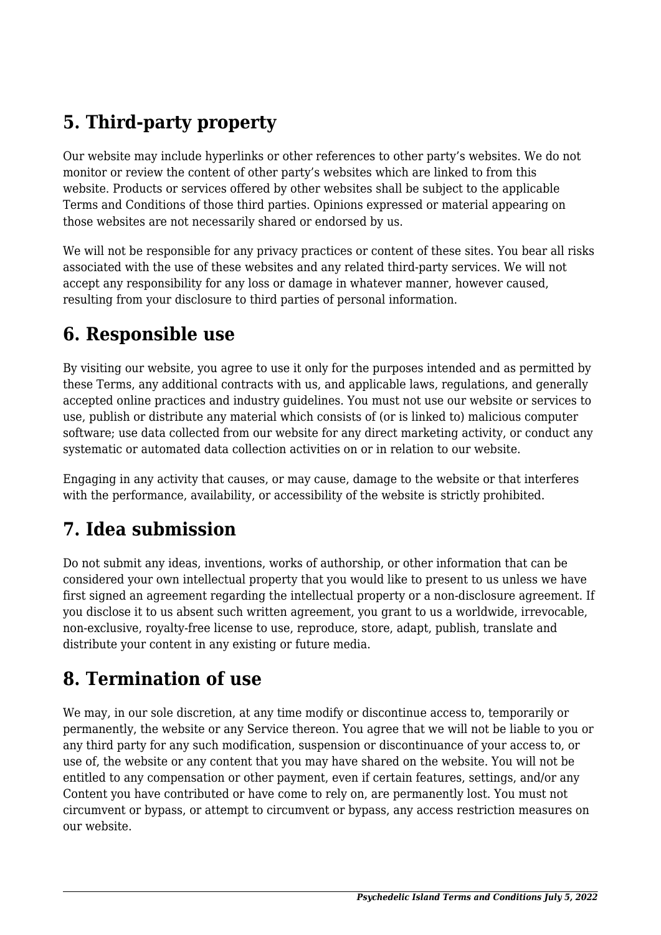## **5. Third-party property**

Our website may include hyperlinks or other references to other party's websites. We do not monitor or review the content of other party's websites which are linked to from this website. Products or services offered by other websites shall be subject to the applicable Terms and Conditions of those third parties. Opinions expressed or material appearing on those websites are not necessarily shared or endorsed by us.

We will not be responsible for any privacy practices or content of these sites. You bear all risks associated with the use of these websites and any related third-party services. We will not accept any responsibility for any loss or damage in whatever manner, however caused, resulting from your disclosure to third parties of personal information.

### **6. Responsible use**

By visiting our website, you agree to use it only for the purposes intended and as permitted by these Terms, any additional contracts with us, and applicable laws, regulations, and generally accepted online practices and industry guidelines. You must not use our website or services to use, publish or distribute any material which consists of (or is linked to) malicious computer software; use data collected from our website for any direct marketing activity, or conduct any systematic or automated data collection activities on or in relation to our website.

Engaging in any activity that causes, or may cause, damage to the website or that interferes with the performance, availability, or accessibility of the website is strictly prohibited.

## **7. Idea submission**

Do not submit any ideas, inventions, works of authorship, or other information that can be considered your own intellectual property that you would like to present to us unless we have first signed an agreement regarding the intellectual property or a non-disclosure agreement. If you disclose it to us absent such written agreement, you grant to us a worldwide, irrevocable, non-exclusive, royalty-free license to use, reproduce, store, adapt, publish, translate and distribute your content in any existing or future media.

### **8. Termination of use**

We may, in our sole discretion, at any time modify or discontinue access to, temporarily or permanently, the website or any Service thereon. You agree that we will not be liable to you or any third party for any such modification, suspension or discontinuance of your access to, or use of, the website or any content that you may have shared on the website. You will not be entitled to any compensation or other payment, even if certain features, settings, and/or any Content you have contributed or have come to rely on, are permanently lost. You must not circumvent or bypass, or attempt to circumvent or bypass, any access restriction measures on our website.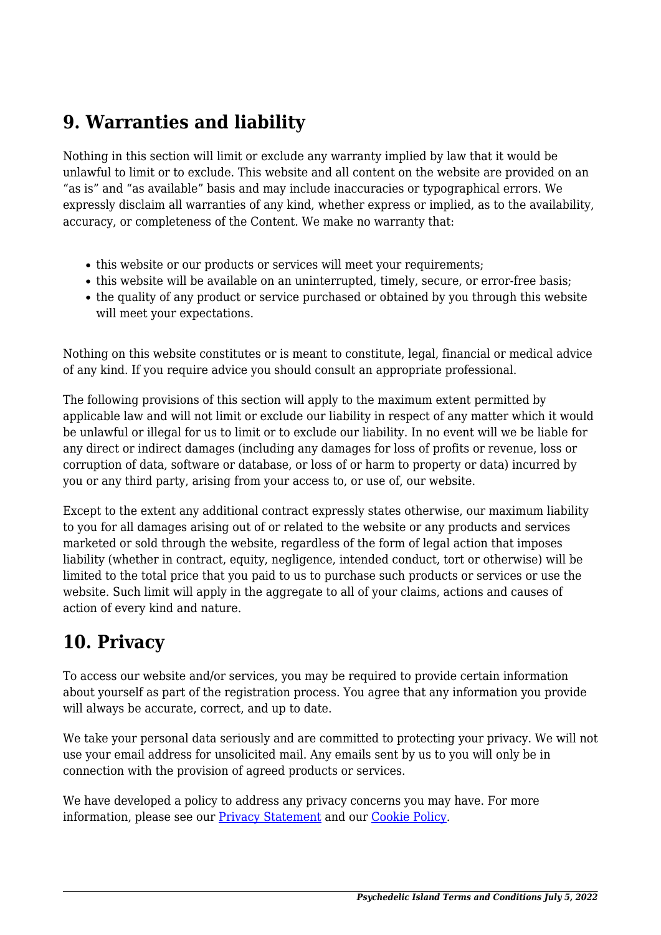### **9. Warranties and liability**

Nothing in this section will limit or exclude any warranty implied by law that it would be unlawful to limit or to exclude. This website and all content on the website are provided on an "as is" and "as available" basis and may include inaccuracies or typographical errors. We expressly disclaim all warranties of any kind, whether express or implied, as to the availability, accuracy, or completeness of the Content. We make no warranty that:

- this website or our products or services will meet your requirements:
- this website will be available on an uninterrupted, timely, secure, or error-free basis;
- the quality of any product or service purchased or obtained by you through this website will meet your expectations.

Nothing on this website constitutes or is meant to constitute, legal, financial or medical advice of any kind. If you require advice you should consult an appropriate professional.

The following provisions of this section will apply to the maximum extent permitted by applicable law and will not limit or exclude our liability in respect of any matter which it would be unlawful or illegal for us to limit or to exclude our liability. In no event will we be liable for any direct or indirect damages (including any damages for loss of profits or revenue, loss or corruption of data, software or database, or loss of or harm to property or data) incurred by you or any third party, arising from your access to, or use of, our website.

Except to the extent any additional contract expressly states otherwise, our maximum liability to you for all damages arising out of or related to the website or any products and services marketed or sold through the website, regardless of the form of legal action that imposes liability (whether in contract, equity, negligence, intended conduct, tort or otherwise) will be limited to the total price that you paid to us to purchase such products or services or use the website. Such limit will apply in the aggregate to all of your claims, actions and causes of action of every kind and nature.

### **10. Privacy**

To access our website and/or services, you may be required to provide certain information about yourself as part of the registration process. You agree that any information you provide will always be accurate, correct, and up to date.

We take your personal data seriously and are committed to protecting your privacy. We will not use your email address for unsolicited mail. Any emails sent by us to you will only be in connection with the provision of agreed products or services.

We have developed a policy to address any privacy concerns you may have. For more information, please see our Privacy Statement and our [Cookie Policy](https://psychedelicisland.com/cookie-policy-eu/).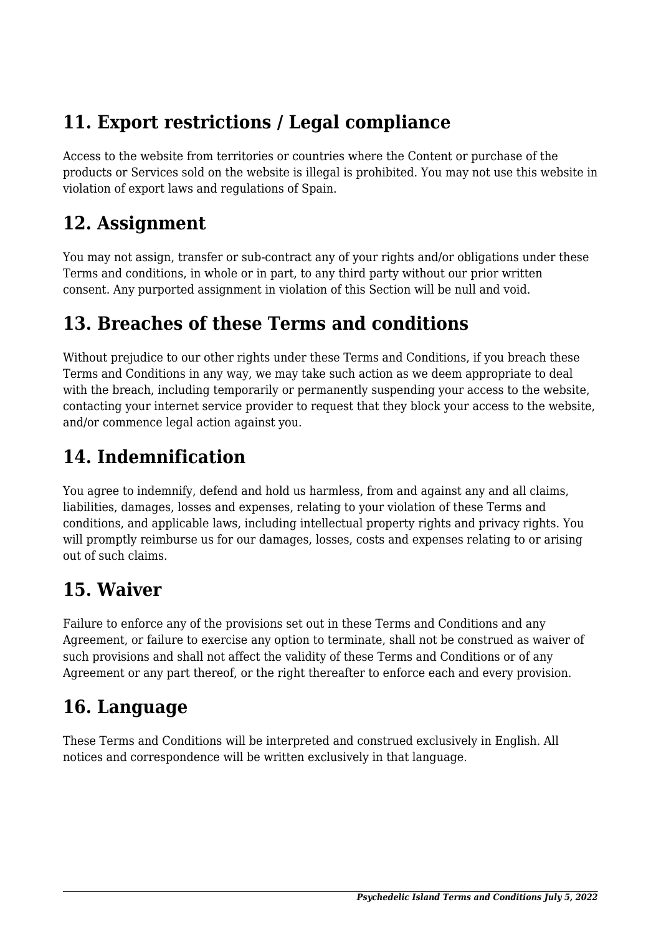## **11. Export restrictions / Legal compliance**

Access to the website from territories or countries where the Content or purchase of the products or Services sold on the website is illegal is prohibited. You may not use this website in violation of export laws and regulations of Spain.

#### **12. Assignment**

You may not assign, transfer or sub-contract any of your rights and/or obligations under these Terms and conditions, in whole or in part, to any third party without our prior written consent. Any purported assignment in violation of this Section will be null and void.

### **13. Breaches of these Terms and conditions**

Without prejudice to our other rights under these Terms and Conditions, if you breach these Terms and Conditions in any way, we may take such action as we deem appropriate to deal with the breach, including temporarily or permanently suspending your access to the website, contacting your internet service provider to request that they block your access to the website, and/or commence legal action against you.

## **14. Indemnification**

You agree to indemnify, defend and hold us harmless, from and against any and all claims, liabilities, damages, losses and expenses, relating to your violation of these Terms and conditions, and applicable laws, including intellectual property rights and privacy rights. You will promptly reimburse us for our damages, losses, costs and expenses relating to or arising out of such claims.

## **15. Waiver**

Failure to enforce any of the provisions set out in these Terms and Conditions and any Agreement, or failure to exercise any option to terminate, shall not be construed as waiver of such provisions and shall not affect the validity of these Terms and Conditions or of any Agreement or any part thereof, or the right thereafter to enforce each and every provision.

## **16. Language**

These Terms and Conditions will be interpreted and construed exclusively in English. All notices and correspondence will be written exclusively in that language.